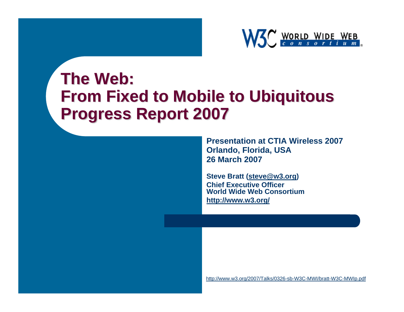

#### **The Web: The Web: From Fixed to Mobile to Ubiquitous From Fixed to Mobile to Ubiquitous Progress Report 2007 Progress Report 2007**

**Presentation at CTIA Wireless 2007Orlando, Florida, USA 26 March 2007**

**Steve Bratt [\(steve@w3.org](mailto:steve@w3.org)) Chief Executive Officer World Wide Web Consortium<http://www.w3.org/>**

<http://www.w3.org/2007/Talks/0326-sb-W3C-MWI/bratt-W3C-MWIp.pdf>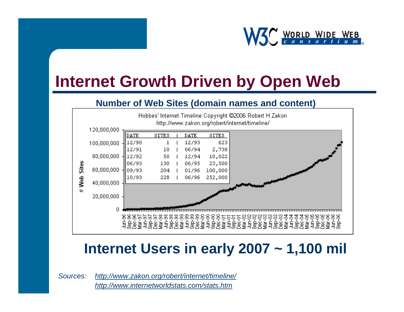

#### **Internet Growth Driven by Open Web**

#### **Number of Web Sites (domain names and content)**



#### **Internet Users in early 2007 ~ 1,100 mil**

*Sources: <http://www.zakon.org/robert/internet/timeline/> <http://www.internetworldstats.com/stats.htm>*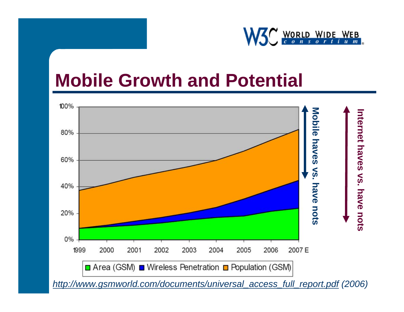

#### **Mobile Growth and Potential**

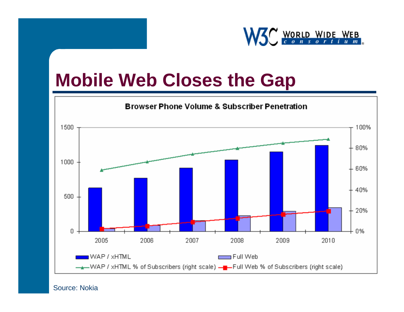

#### **Mobile Web Closes the Gap**



#### Source: Nokia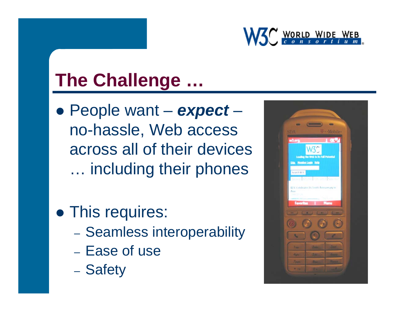

# **The Challenge …**

- z People want *expect*  $\mathcal{L}_{\mathcal{A}}$  , and the set of  $\mathcal{L}_{\mathcal{A}}$ no-hassle, Web access across all of their devices … including their phones
- This requires:
	- Seamless interoperability
	- Ease of use
	- Safety

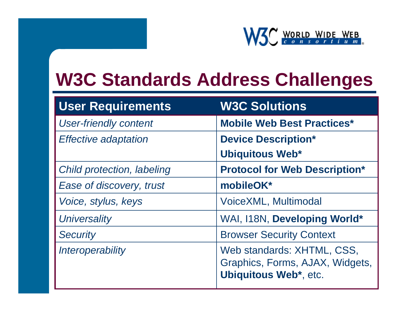

#### **W3C Standards Address Challenges**

| <b>User Requirements</b>     | <b>W3C Solutions</b>                                                                          |
|------------------------------|-----------------------------------------------------------------------------------------------|
| <b>User-friendly content</b> | <b>Mobile Web Best Practices*</b>                                                             |
| <b>Effective adaptation</b>  | <b>Device Description*</b>                                                                    |
|                              | <b>Ubiquitous Web*</b>                                                                        |
| Child protection, labeling   | <b>Protocol for Web Description*</b>                                                          |
| Ease of discovery, trust     | mobileOK*                                                                                     |
| Voice, stylus, keys          | VoiceXML, Multimodal                                                                          |
| <b>Universality</b>          | WAI, I18N, Developing World*                                                                  |
| <b>Security</b>              | <b>Browser Security Context</b>                                                               |
| Interoperability             | Web standards: XHTML, CSS,<br>Graphics, Forms, AJAX, Widgets,<br><b>Ubiquitous Web*, etc.</b> |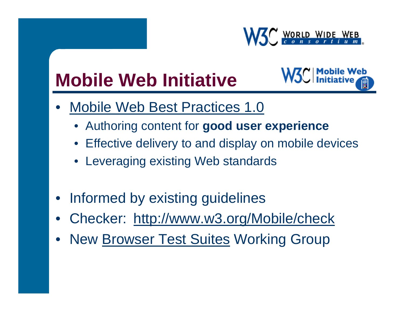

# **Mobile Web Initiative**



- •• [Mobile Web Best Practices 1.0](http://www.w3.org/TR/mobile-bp/)
	- Authoring content for **good user experience**
	- Effective delivery to and display on mobile devices
	- Leveraging existing Web standards
- $\bullet$ Informed by existing guidelines
- •Checker: <http://www.w3.org/Mobile/check>
- •N[ew Browser Test Suites](http://www.w3.org/2005/MWI/Tests/) Working Group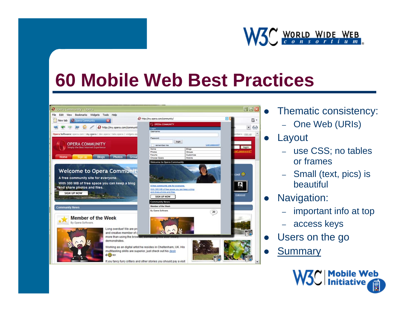

#### **60 Mobile Web Best Practices**



- [Thematic consistency:](http://www.w3.org/Mobile/)
	- One Web (URIs)
- Layout

 $\bullet$ 

- use CSS; no tables or frames
- Small (text, pics) is beautiful
- $\bullet$  Navigation:
	- –important info at top
	- access keys
- $\bullet$ Users on the go
- $\bullet$ **Summary**

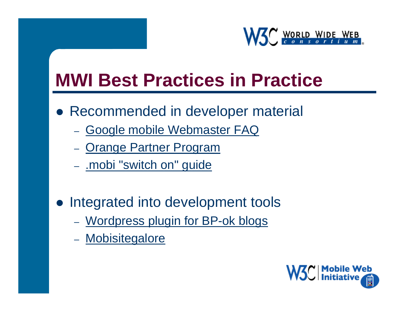

### **MWI Best Practices in Practice**

- Recommended in developer material
	- [Google mobile Webmaster FAQ](http://www.google.com/support/webmasters/bin/answer.py?answer=40348&topic=8523)
	- [Orange Partner Program](http://www.orangepartner.com/site/enuk/develop/initiatives/mwi/p_mwi.jsp)
	- <u>.mobi ["switch on" guide](http://pc.mtld.mobi/documents/dotmobi_Switch_On_Web_Developer_Guide3.html)</u>
- Integrated into development tools
	- <u>Wordpress plugin [for BP-ok blogs](http://www.thisismobility.com/blog/?p=230)</u>
	- <u>[Mobisitegalore](http://www.mobisitegalore.com/)</u>

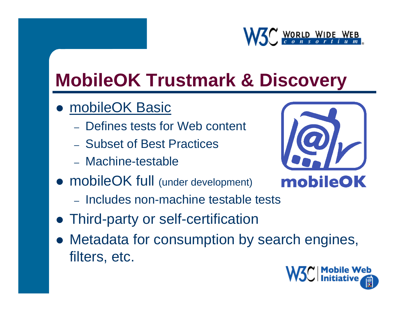

# **MobileOK Trustmark & Discovery**

- $\bullet$  [mobileOK](http://www.w3.org/TR/mobileOK-basic10-tests/) Basic
	- Defines tests for Web content
	- Subset of Best Practices
	- Machine-testable
- mobileOK full (under development)
	- Includes non-machine testable tests
- Third-party or self-certification
- $\bullet$  Metadata for consumption by search engines, filters, etc.

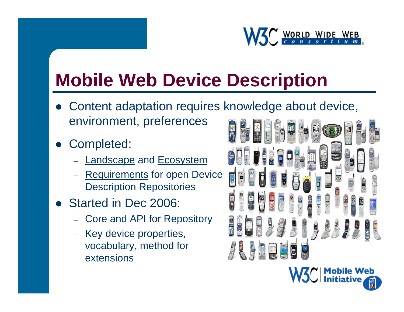

# **Mobile Web Device Description**

- $\bullet$  Content adaptation requires knowledge about device, environment, preferences
- O Completed:
	- [Landscape](http://www.w3.org/TR/dd-landscape) [and Ecosystem](http://www.w3.org/TR/dd-ecosystem)
	- [Requirements](http://www.w3.org/TR/DDR-requirements) for open Device Description Repositories
- $\bullet$  Started in Dec 2006:
	- Core and API for Repository
	- Key device properties, vocabulary, method for extensions

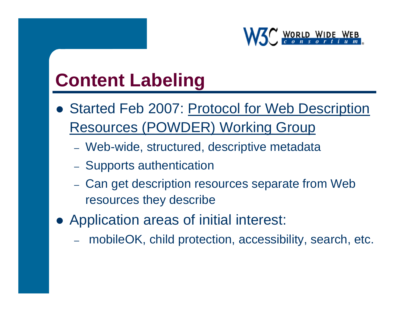

#### **Content Labeling**

- Started Feb 2007: Protocol for Web Description [Resources \(POWDER\) Working Group](http://www.w3.org/2007/02/powder_charter)
	- Web-wide, structured, descriptive metadata
	- Supports authentication
	- Can get description resources separate from Web resources they describe
- Application areas of initial interest:
	- mobileOK, child protection, accessibility, search, etc.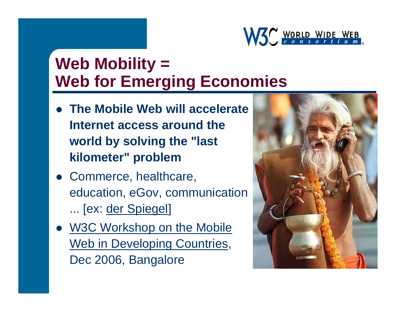

#### **Web Mobility = Web for Emerging Economies**

- **The Mobile Web will accelerate Internet access around the world by solving the "last kilometer" problem**
- Commerce, healthcare, education, eGov, communication ... [ex: der [Spiegel](http://www.spiegel.de/international/spiegel/0,1518,419034,00.html)]
- W3C Workshop on the Mobile Web in Developing Countries, Dec 2006, Bangalore

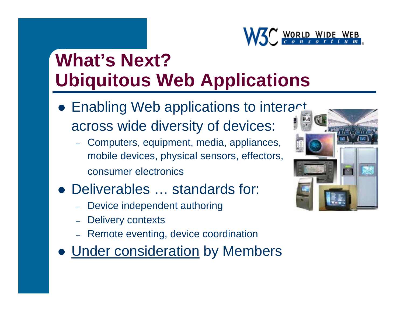

# **What's Next?Ubiquitous Web Applications**

- Enabling Web applications to interact across wide diversity of devices:
	- Computers, equipment, media, appliances, mobile devices, physical sensors, effectors, consumer electronics
- Deliverables ... standards for:
	- –Device independent authoring
	- –Delivery contexts
	- –Remote eventing, device coordination
- **[Under consideration](http://www.w3.org/2006/10/uwa-activity-proposal.html)** by Members

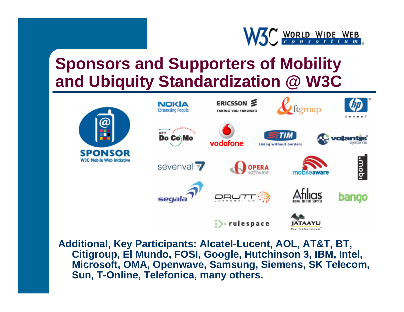

#### **Sponsors and Supporters of Mobility and Ubiquity Standardization @ W3C**



**Additional, Key Participants: Alcatel-Lucent, AOL, AT&T, BT, Citigroup, El Mundo, FOSI, Google, Hutchinson 3, IBM, Intel, Microsoft, OMA, Openwave, Samsung, Siemens, SK Telecom, Sun, T-Online, Telefonica, many others.**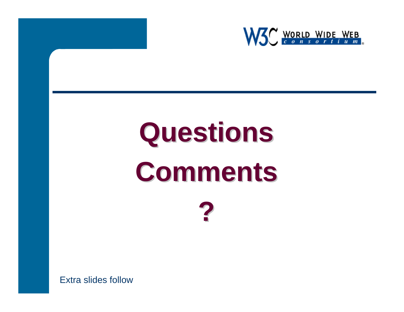

# **Questions Questions Comments Comments ?**

Extra slides follow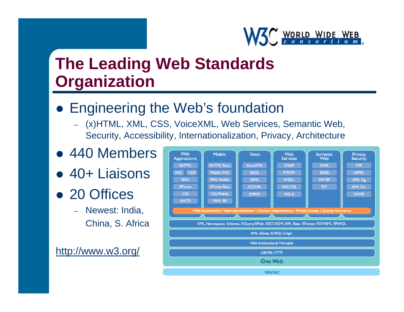

#### **The Leading Web Standards Organization**

- **Engineering the Web's foundation** 
	- – (x)HTML, XML, CSS, VoiceXML, Web Services, Semantic Web, Security, Accessibility, Internationalization, Privacy, Architecture
- $\bullet$ 440 Members
- $\bullet$ 40+ Liaisons
- 20 Offices
	- Newest: India, China, S. Africa

<http://www.w3.org/>

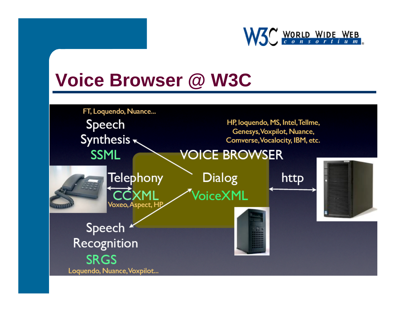

#### **Voice Browser @ W3C**

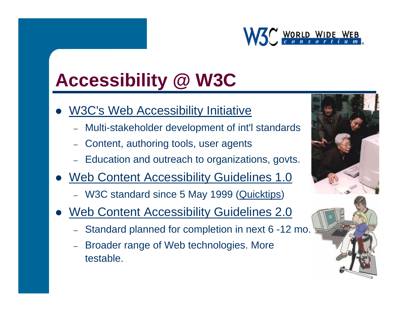

# **Accessibility @ W3C**

- O [W3C's Web Accessibility Initiative](http://www.w3.org/WAI/)
	- Multi-stakeholder development of int'l standards
	- Content, authoring tools, user agents
	- Education and outreach to organizations, govts.
- O [Web Content Accessibility Guidelines 1.0](http://www.w3.org/TR/WAI-WEBCONTENT)
	- W3C standard since 5 May 1999 (<u>Quic[ktips](http://www.w3.org/WAI/quicktips/)</u>)
- $\bullet$  [Web Content Accessibility Guidelines 2.0](http://www.w3.org/TR/WCAG20/)
	- Standard planned for completion in next 6 -12 mo.
	- – Broader range of Web technologies. More testable.



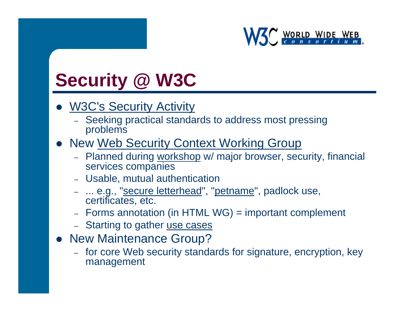

### **Security @ W3C**

- $\bullet$ [W3C's Security Activity](http://www.w3.org/Security/)
	- Seeking practical standards to address most pressing problems
- [New Web Security Context Working Group](http://www.w3.org/2006/WSC/)
	- Planned during workshop w/ major browser, security, financial services companies
	- Usable, mutual authentication
	- … e.g., "<u>secure letterhead</u>", "<u>petname</u>", padlock use, certificates, etc.
	- Forms annotation (in HTML WG) = important complement
	- Starting to gather <u>use cases</u>
- New Maintenance Group?
	- for core Web security standards for signature, encryption, key management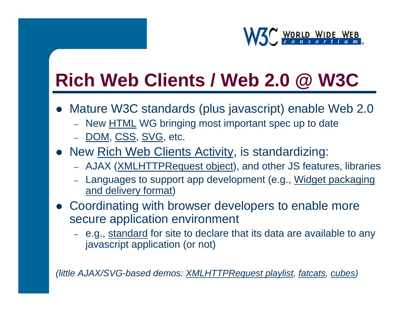

# **Rich Web Clients / Web 2.0 @ W3C**

- Mature W3C standards (plus javascript) enable Web 2.0
	- New <u>HTML</u> WG bringing most important spec up to date
	- [DOM](http://www.w3.org/DOM/)[, CSS](http://www.w3.org/Style/CSS/)[, SVG](http://www.w3.org/Graphics/SVG/), etc.
- [New Rich Web Clients Activity](http://www.w3.org/2006/rwc/Activity.html), is standardizing:
	- AJ[AX \(XMLHTTPRequest object](http://www.w3.org/TR/XMLHttpRequest/)), and other JS features, libraries
	- [Languages to support app development \(e.g., Widget packaging](http://www.w3.org/TR/WAPF-REQ/)  [and delivery format\)](http://www.w3.org/TR/WAPF-REQ/)
- Coordinating with browser developers to enable more secure application environment
	- e.g., <u>standard</u> for site to declare that its data are available to any javascript application (or not)

*(little AJAX/SVG-based demos: XMLHTTPRequest playlis[t, fatcats](http://cuboidal.org/demos/foafcorp/foafcorp.svgz)[, cubes](http://www.w3.org/2006/Talks/0427-rwcsvg-china/cubes_final.svgz))*